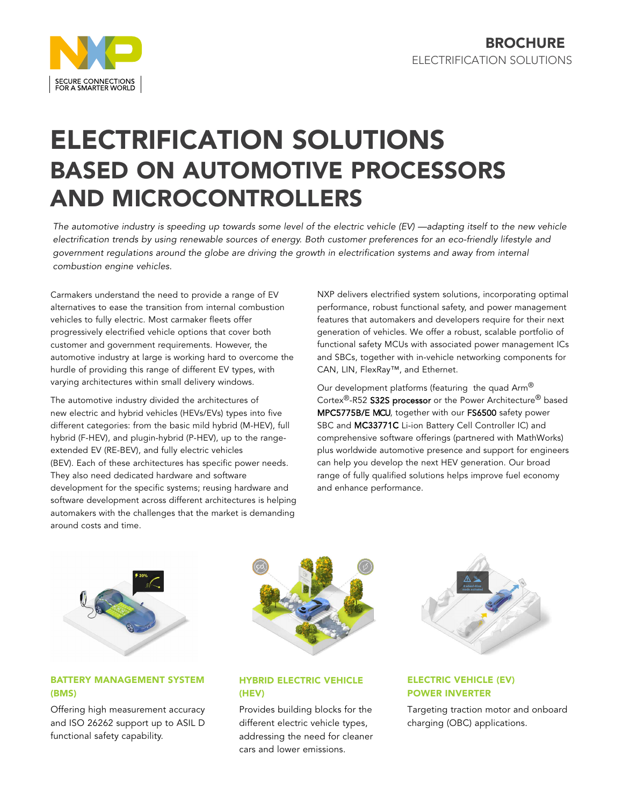

# ELECTRIFICATION SOLUTIONS BASED ON AUTOMOTIVE PROCESSORS AND MICROCONTROLLERS

The automotive industry is speeding up towards some level of the electric vehicle (EV) —adapting itself to the new vehicle electrification trends by using renewable sources of energy. Both customer preferences for an eco-friendly lifestyle and government regulations around the globe are driving the growth in electrification systems and away from internal combustion engine vehicles.

Carmakers understand the need to provide a range of EV alternatives to ease the transition from internal combustion vehicles to fully electric. Most carmaker fleets offer progressively electrified vehicle options that cover both customer and government requirements. However, the automotive industry at large is working hard to overcome the hurdle of providing this range of different EV types, with varying architectures within small delivery windows.

The automotive industry divided the architectures of new electric and hybrid vehicles (HEVs/EVs) types into five different categories: from the basic mild hybrid (M-HEV), full hybrid (F-HEV), and plugin-hybrid (P-HEV), up to the rangeextended EV (RE-BEV), and fully electric vehicles (BEV). Each of these architectures has specific power needs. They also need dedicated hardware and software development for the specific systems; reusing hardware and software development across different architectures is helping automakers with the challenges that the market is demanding around costs and time.

NXP delivers electrified system solutions, incorporating optimal performance, robust functional safety, and power management features that automakers and developers require for their next generation of vehicles. We offer a robust, scalable portfolio of functional safety MCUs with associated power management ICs and SBCs, together with in-vehicle networking components for CAN, LIN, FlexRay™, and Ethernet.

Our development platforms (featuring the quad Arm® Cortex<sup>®</sup>-R52 S32S processor or the Power Architecture<sup>®</sup> based MPC5775B/E MCU, together with our FS6500 safety power SBC and MC33771C Li-ion Battery Cell Controller IC) and comprehensive software offerings (partnered with MathWorks) plus worldwide automotive presence and support for engineers can help you develop the next HEV generation. Our broad range of fully qualified solutions helps improve fuel economy and enhance performance.

# BATTERY MANAGEMENT SYSTEM (BMS)

Offering high measurement accuracy and ISO 26262 support up to ASIL D functional safety capability.



# HYBRID ELECTRIC VEHICLE (HEV)

Provides building blocks for the different electric vehicle types, addressing the need for cleaner cars and lower emissions.



# ELECTRIC VEHICLE (EV) POWER INVERTER

Targeting traction motor and onboard charging (OBC) applications.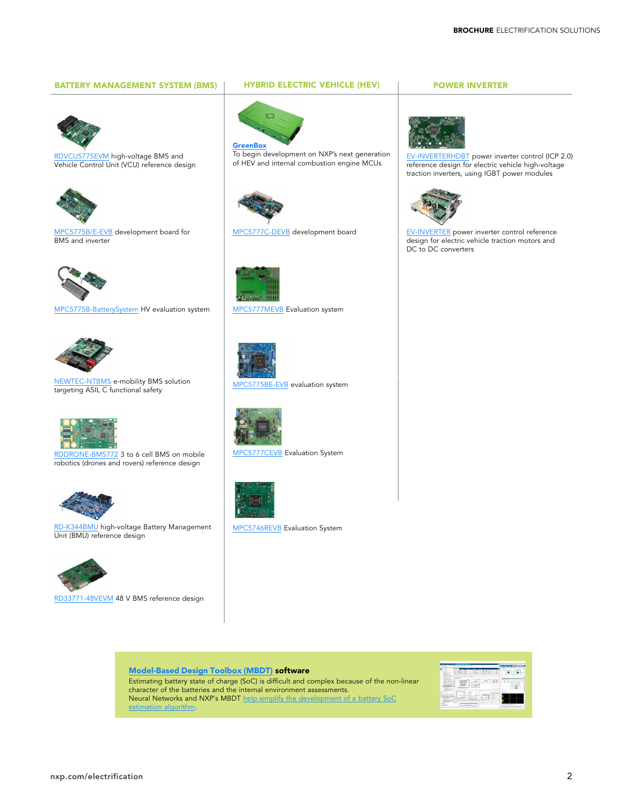#### BATTERY MANAGEMENT SYSTEM (BMS) | HYBRID ELECTRIC VEHICLE (HEV) | POWER INVERTER



[RDVCU5775EVM](https://www.nxp.com/design/designs/mpc5775b-bms-and-vcu-reference-design:RDVCU5775EVM) high-voltage BMS and Vehicle Control Unit (VCU) reference design



[MPC5775B/E-EVB](https://www.nxp.com/design/development-boards/automotive-development-platforms/mpc57xx-mcu-platforms/mpc5775b-e-low-cost-bms-and-inverter-development-board:MPC5775B-E-EVB) development board for BMS and inverter



[MPC5775B-BatterySystem](https://www.nxp.com/design/development-boards/automotive-development-platforms/mpc57xx-mcu-platforms/mpc5775b-and-mc33771-high-voltage-bms-evaluation-system:MPC5775B-BATTERYSYSTEM) HV evaluation system [MPC5777MEVB](https://www.nxp.com/design/development-boards/automotive-development-platforms/mpc57xx-mcu-platforms/mpc5777m-engine-management-evaluation-system:MPC5777MEVB) Evaluation system



[NEWTEC-NTBMS](https://www.nxp.com/design/designs/newtec-battery-management-system-bms-reference-design:NEWTEC-NTBMS) e-mobility BMS solution targeting ASIL C functional safety



[RDDRONE-BMS772](https://www.nxp.com/design/designs/smart-battery-management-for-mobile-robotics:RDDRONE-BMS772) 3 to 6 cell BMS on mobile robotics (drones and rovers) reference design



[RD-K344BMU](https://www.nxp.com/design/designs/hvbms-battery-management-unit-bmu:RD-K344BMU?tid=vanRD-K344BMU) high-voltage Battery Management Unit (BMU) reference design



[RD33771-48VEVM](https://www.nxp.com/design/designs/rd33771-48vevm-reference-design:RD33771-48VEVM) 48 V BMS reference design



To begin development on NXP's next generation of HEV and internal combustion engine MCUs



[MPC5777C-DEVB](https://www.nxp.com/design/development-boards/automotive-development-platforms/mpc57xx-mcu-platforms/mpc5777c-bms-and-engine-control-development-board:MPC5777C-DEVB) development board





[MPC5775BE-EVB](https://www.nxp.com/design/development-boards/automotive-development-platforms/mpc57xx-mcu-platforms/mpc5775be-bms-evaluation-system:MPC5775BE-EVB) evaluation system



[MPC5777CEVB](https://www.nxp.com/design/development-boards/automotive-development-platforms/mpc57xx-mcu-platforms/mpc5777c-engine-management-evaluation-system:MPC5777CEVB) Evaluation System



[MPC5746REVB](https://www.nxp.com/design/development-boards/automotive-development-platforms/mpc57xx-mcu-platforms/mpc5746r-engine-management-evaluation-system:MPC5746REVB) Evaluation System



[EV-INVERTERHDBT](https://www.nxp.com/design/designs/icp2-0-igbt-ev-power-inverter-control-platform:EV-INVERTERHDBT) power inverter control (ICP 2.0) reference design for electric vehicle high-voltage traction inverters, using IGBT power modules



[EV-INVERTER](https://www.nxp.com/design/designs/ev-power-inverter-control-reference-platform:RDPWRINVERTER) power inverter control reference design for electric vehicle traction motors and DC to DC converters

#### [Model-Based](https://www.nxp.com/design/automotive-software-and-tools/model-based-design-toolbox-mbdt:MBDT) Design Toolbox (MBDT) software

Estimating battery state of charge (SoC) is difficult and complex because of the non-linear character of the batteries and the internal environment assessments. Neural Networks and NXP's MBDT help simplify the [development](https://www.nxp.com/company/blog/model-based-design-helps-power-embedded-software-development-for-bms:BL-POWER-EMBEDDED-SOFTWARE-DEVELOPMENT) of a battery SoC estimation algorithm.